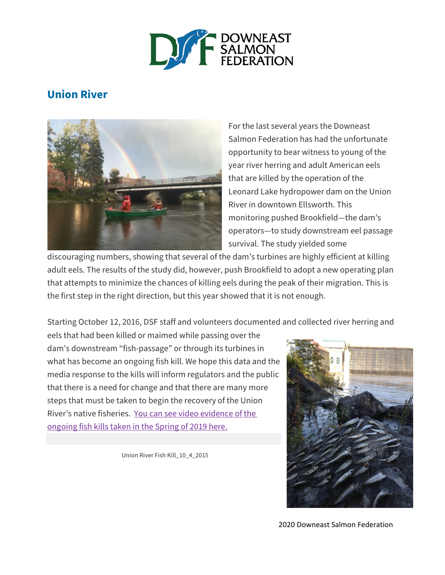

# **Union River**



For the last several years the Downeast Salmon Federation has had the unfortunate opportunity to bear witness to young of the year river herring and adult American eels that are killed by the operation of the Leonard Lake hydropower dam on the Union River in downtown Ellsworth. This monitoring pushed Brookfield—the dam's operators—to study downstream eel passage survival. The study yielded some

discouraging numbers, showing that several of the dam's turbines are highly efficient at killing adult eels. The results of the study did, however, push Brookfield to adopt a new operating plan that attempts to minimize the chances of killing eels during the peak of their migration. This is the first step in the right direction, but this year showed that it is not enough.

Starting October 12, 2016, DSF staff and volunteers documented and collected river herring and

eels that had been killed or maimed while passing over the dam's downstream "fish-passage" or through its turbines in what has become an ongoing fish kill. We hope this data and the media response to the kills will inform regulators and the public that there is a need for change and that there are many more steps that must be taken to begin the recovery of the Union River's native fisheries. You can see video [evidence](https://mainesalmonrivers.org/wp-content/uploads/2019/07/IMG_1210.mov) of the [ongoing](https://mainesalmonrivers.org/wp-content/uploads/2019/07/IMG_1210.mov) fish kills taken in the Spring of 2019 here.

Union River Fish Kill\_10\_4\_2015



2020 Downeast Salmon Federation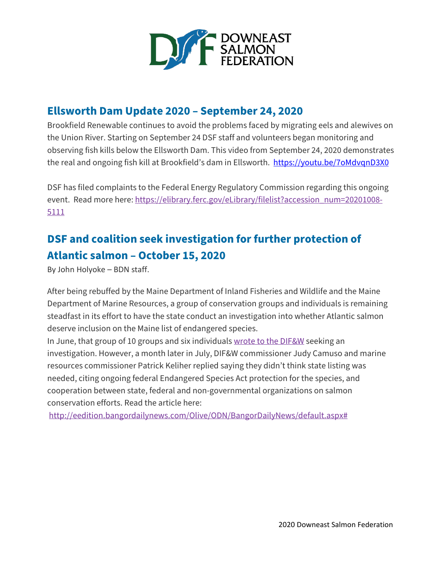

## **Ellsworth Dam Update 2020 – September 24, 2020**

Brookfield Renewable continues to avoid the problems faced by migrating eels and alewives on the Union River. Starting on September 24 DSF staff and volunteers began monitoring and observing fish kills below the Ellsworth Dam. This video from September 24, 2020 demonstrates the real and ongoing fish kill at Brookfield's dam in Ellsworth. <https://youtu.be/7oMdvqnD3X0>

DSF has filed complaints to the Federal Energy Regulatory Commission regarding this ongoing event. Read more here: [https://elibrary.ferc.gov/eLibrary/filelist?accession\\_num=20201008-](https://elibrary.ferc.gov/eLibrary/filelist?accession_num=20201008-5111) [5111](https://elibrary.ferc.gov/eLibrary/filelist?accession_num=20201008-5111)

# **DSF and coalition seek investigation for further protection of Atlantic salmon – October 15, 2020**

By John Holyoke – BDN staff.

After being rebuffed by the Maine Department of Inland Fisheries and Wildlife and the Maine Department of Marine Resources, a group of conservation groups and individuals is remaining steadfast in its effort to have the state conduct an investigation into whether Atlantic salmon deserve inclusion on the Maine list of endangered species.

In June, that group of 10 groups and six individuals wrote to the [DIF&W](https://bangordailynews.com/2020/06/01/outdoors/state-urged-to-include-atlantic-salmon-on-endangered-species-list/) seeking an investigation. However, a month later in July, DIF&W commissioner Judy Camuso and marine resources commissioner Patrick Keliher replied saying they didn't think state listing was needed, citing ongoing federal Endangered Species Act protection for the species, and cooperation between state, federal and non-governmental organizations on salmon conservation efforts. Read the article here:

[http://eedition.bangordailynews.com/Olive/ODN/BangorDailyNews/default.aspx#](http://eedition.bangordailynews.com/Olive/ODN/BangorDailyNews/default.aspx#_)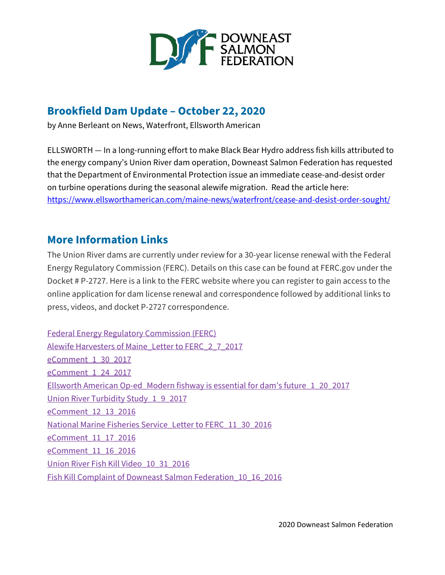

# **Brookfield Dam Update – October 22, 2020**

by Anne Berleant on News, Waterfront, Ellsworth American

ELLSWORTH — In a long-running effort to make Black Bear Hydro address fish kills attributed to the energy company's Union River dam operation, Downeast Salmon Federation has requested that the Department of Environmental Protection issue an immediate cease-and-desist order on turbine operations during the seasonal alewife migration. Read the article here: <https://www.ellsworthamerican.com/maine-news/waterfront/cease-and-desist-order-sought/>

## **More Information Links**

The Union River dams are currently under review for a 30-year license renewal with the Federal Energy Regulatory Commission (FERC). Details on this case can be found at FERC.gov under the Docket # P-2727. Here is a link to the FERC website where you can register to gain access to the online application for dam license renewal and correspondence followed by additional links to press, videos, and docket P-2727 correspondence.

Federal Energy Regulatory [Commission](https://www.ferc.gov/docs-filing/esubscription.asp) (FERC) Alewife Harvesters of Maine\_Letter to [FERC\\_2\\_7\\_2017](https://mainesalmonrivers.org/wp-content/uploads/2017/01/Alewife-Harvesters-of-Maine.pdf) [eComment\\_1\\_30\\_2017](https://mainesalmonrivers.org/wp-content/uploads/2017/01/eComment_Barbara-Witham.pdf) [eComment\\_1\\_24\\_2017](https://mainesalmonrivers.org/wp-content/uploads/2017/01/eComment_1_24_2017.pdf) Ellsworth American Op-ed\_Modern fishway is essential for dam's [future\\_1\\_20\\_2017](https://mainesalmonrivers.org/wp-content/uploads/2017/01/Modern-fishway-is-essential-for-dam%E2%80%99s-future.pdf) Union River Turbidity [Study\\_1\\_9\\_2017](https://mainesalmonrivers.org/wp-content/uploads/2017/01/Union-River-Turbidity-Study.pdf) [eComment\\_12\\_13\\_2016](https://mainesalmonrivers.org/wp-content/uploads/2017/01/Comment_Ellsworth-Resident.pdf) National Marine Fisheries Service\_Letter to [FERC\\_11\\_30\\_2016](https://mainesalmonrivers.org/wp-content/uploads/2017/01/20161201-528331803692-1.pdf) [eComment\\_11\\_17\\_2016](https://mainesalmonrivers.org/wp-content/uploads/2017/01/20161118-500331784886.pdf) [eComment\\_11\\_16\\_2016](https://mainesalmonrivers.org/wp-content/uploads/2017/01/Comment-on-Filing.pdf) Union River Fish Kill [Video\\_10\\_31\\_2016](https://www.youtube.com/watch?v=OTejXPnJOJ8) Fish Kill Complaint of Downeast Salmon [Federation\\_10\\_16\\_2016](https://mainesalmonrivers.org/wp-content/uploads/2017/01/DSF-Compaint.pdf)